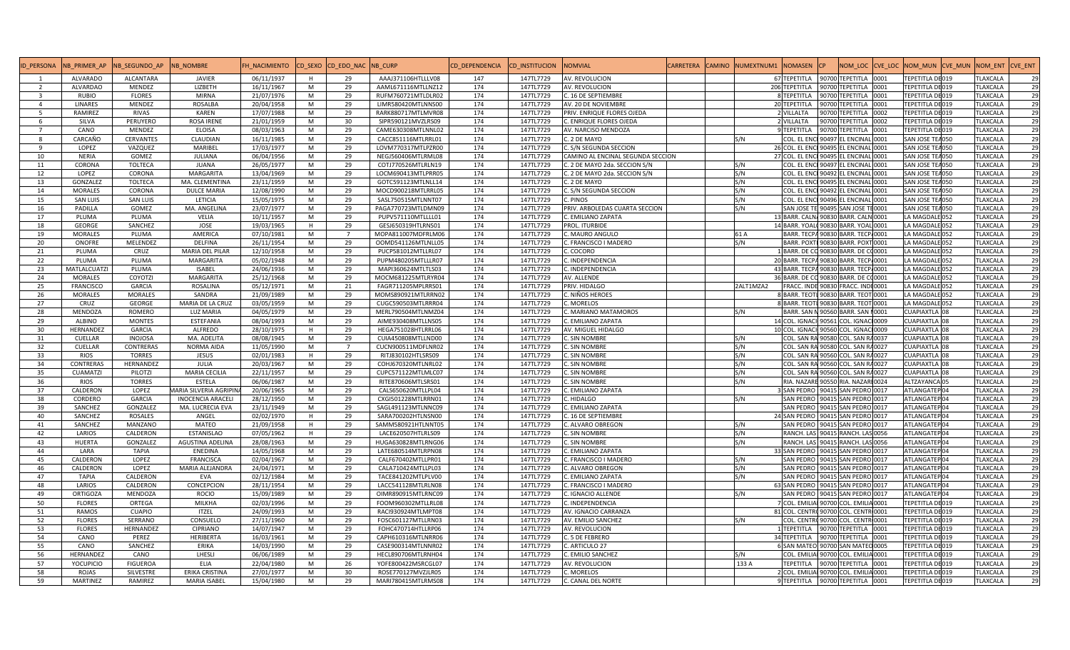| <b>ID PERSONA</b> | NB PRIMER AP        | NB SEGUNDO AP    | <b>NB NOMBRE</b>              | H NACIMIENTO |   | CD SEXO CD EDO NAC NB CURP |                    | CD DEPENDENCIA | d institucion: | <b>JOMVIAL</b>                    | CARRETERA | <b>CAMINO</b> | NUMEXTNUM1 NOMASEN |                    | <b>CP</b>                            |      | NOM LOC CVE LOC NOM MUN CVE MUN | NOM ENT         | <b>CVE_ENT</b> |
|-------------------|---------------------|------------------|-------------------------------|--------------|---|----------------------------|--------------------|----------------|----------------|-----------------------------------|-----------|---------------|--------------------|--------------------|--------------------------------------|------|---------------------------------|-----------------|----------------|
|                   | <b>ALVARADO</b>     | ALCANTARA        | <b>JAVIER</b>                 | 06/11/1937   | H | 29                         | AAAJ371106HTLLLV08 | 147            | 147TL7729      | AV. REVOLUCION                    |           |               |                    | 67 TEPETITLA       | 90700 TEPETITLA                      | 0001 | TEPETITLA DE019                 | <b>TLAXCALA</b> | 29             |
| $\overline{2}$    | <b>ALVARDAO</b>     | <b>MENDEZ</b>    | LIZBETH                       | 16/11/1967   | M | 29                         | AAML671116MTLLNZ12 | 174            | 147TL7729      | AV. REVOLUCION                    |           |               |                    | 206 TEPETITLA      | 90700 TEPETITLA 0001                 |      | TEPETITLA DE019                 | <b>TLAXCALA</b> | 29             |
| $\overline{3}$    | <b>RUBIO</b>        | <b>FLORES</b>    | <b>MIRNA</b>                  | 21/07/1976   | M | 29                         | RUFM760721MTLDLR02 | 174            | 147TL7729      | C. 16 DE SEPTIEMBRE               |           |               |                    | 8 TEPETITLA        | 90700 TEPETITLA 0001                 |      | TEPETITLA DE019                 | <b>TLAXCALA</b> | 29             |
| $\overline{4}$    | <b>LINARES</b>      | MENDEZ           | <b>ROSALBA</b>                | 20/04/1958   | M | 29                         | LIMR580420MTLNNS00 | 174            | 147TL7729      | AV. 20 DE NOVIEMBRE               |           |               |                    | 20 TEPETITLA       | 90700 TEPETITLA 0001                 |      | TEPETITLA DE019                 | <b>TLAXCALA</b> | 29             |
| 5 <sup>5</sup>    | RAMIREZ             | <b>RIVAS</b>     | <b>KAREN</b>                  | 17/07/1988   | M | 29                         | RARK880717MTLMVR08 | 174            | 147TL7729      | PRIV. ENRIQUE FLORES OJEDA        |           |               |                    | 2 VILLALTA         | 90700 TEPETITLA 0002                 |      | TEPETITLA DE019                 | <b>TLAXCALA</b> | 29             |
| 6                 | SILVA               | PERUYERO         | <b>ROSA IRENE</b>             | 21/01/1959   | M | 30                         | SIPR590121MVZLRS09 | 174            | 147TL7729      | C. ENRIQUE FLORES OJEDA           |           |               |                    | 2 VILLALTA         | 90700 TEPETITLA 0002                 |      | TEPETITLA DE019                 | <b>TLAXCALA</b> | 29             |
| $\overline{7}$    | CANO                | MENDEZ           | <b>ELOISA</b>                 | 08/03/1963   | M | 29                         | CAME630308MTLNNL02 | 174            | 147TL7729      | AV. NARCISO MENDOZA               |           |               |                    | 9 TEPETITLA        | 90700 TEPETITLA 0001                 |      | TEPETITLA DE019                 | <b>TLAXCALA</b> | 29             |
| 8                 | CARCAÑO             | <b>CERVANTES</b> | CLAUDIAN                      | 16/11/1985   | M | 29                         | CACC851116MTLRRL01 | 174            | 147TL7729      | C. 2 DE MAYO                      |           |               | S/N                | <b>COL. EL ENC</b> | 90497 EL ENCINAL 0001                |      | SAN JOSE TEA050                 | <b>TLAXCALA</b> | 29             |
| 9                 | LOPEZ               | VAZQUEZ          | MARIBEL                       | 17/03/1977   | M | 29                         | LOVM770317MTLPZR00 | 174            | 147TL7729      | C. S/N SEGUNDA SECCION            |           |               |                    | 26 COL. EL ENC     | 90495 EL ENCINAL 0001                |      | SAN JOSE TEA050                 | <b>TLAXCALA</b> | 29             |
| 10                | <b>NERIA</b>        | GOMEZ            | JULIANA                       | 06/04/1956   | M | 29                         | NEGJ560406MTLRML08 | 174            | 147TL7729      | CAMINO AL ENCINAL SEGUNDA SECCION |           |               |                    | 27 COL. EL ENC     | 90495 EL ENCINAL 0001                |      | SAN JOSE TEA050                 | <b>TLAXCALA</b> | 29             |
| 11                | CORONA              | <b>TOLTECA</b>   | <b>JUANA</b>                  | 26/05/1977   | M | 29                         | COTJ770526MTLRLN19 | 174            | 147TL7729      | C. 2 DE MAYO 2da. SECCION S/N     |           |               | S/N                |                    | COL. EL ENCI 90497 EL ENCINAL 0001   |      | SAN JOSE TEA050                 | <b>TLAXCALA</b> | 29             |
| 12                | LOPEZ               | CORONA           | MARGARITA                     | 13/04/1969   | M | 29                         | LOCM690413MTLPRR05 | 174            | 147TL7729      | C. 2 DE MAYO 2da. SECCION S/N     |           |               | S/N                | COL. EL ENC        | 90492 EL ENCINAL 0001                |      | SAN JOSE TEA050                 | <b>TLAXCALA</b> | 29             |
| 13                | GONZALEZ            | <b>TOLTECA</b>   | MA. CLEMENTINA                | 23/11/1959   | M | 29                         | GOTC591123MTLNLL14 | 174            | 147TL7729      | C. 2 DE MAYO                      |           |               | S/N                | COL. EL ENC        | 90495 EL ENCINAL 0001                |      | SAN JOSE TEA050                 | <b>TLAXCALA</b> | 29             |
| 14                | <b>MORALES</b>      | CORONA           | <b>DULCE MARIA</b>            | 12/08/1990   | M | 29                         | MOCD900218MTLRRL05 | 174            | 147TL7729      | S/N SEGUNDA SECCION               |           |               | S/N                | COL. EL ENC        | 90492 EL ENCINAL 0001                |      | SAN JOSE TEA050                 | <b>TLAXCALA</b> | 29             |
| 15                | <b>SAN LUIS</b>     | <b>SAN LUIS</b>  | LETICIA                       | 15/05/1975   | M | 29                         | SASL750515MTLNNT07 | 174            | 147TL7729      | . PINOS                           |           |               | S/N                |                    | COL. EL ENCI 90496 EL ENCINAL 0001   |      | SAN JOSE TEA050                 | <b>TLAXCALA</b> | 29             |
| 16                | PADILLA             | GOMEZ            | MA. ANGELINA                  | 23/07/1977   | M | 29                         | PAGA770723MTLDMN09 | 174            | 147TL7729      | PRIV. ARBOLEDAS CUARTA SECCION    |           |               | S/N                | SAN JOSE TI        | 90495 SAN JOSE TE0001                |      | SAN JOSE TEA050                 | <b>TLAXCALA</b> | 29             |
| 17                | PLUMA               | PLUMA            | VELIA                         | 10/11/1957   | M | 29                         | PUPV571110MTLLLL01 | 174            | 147TL7729      | . EMILIANO ZAPATA                 |           |               |                    |                    | 13 BARR. CALN. 90830 BARR. CALN 0001 |      | LA MAGDALE 052                  | <b>TLAXCALA</b> | 29             |
| 18                | <b>GEORGE</b>       | SANCHEZ          | JOSE                          | 19/03/1965   | H | 29                         | GESJ650319HTLRNS01 | 174            | 147TL7729      | PROL. ITURBIDE                    |           |               |                    |                    | 14 BARR. YOAL 90830 BARR. YOAL 0001  |      | LA MAGDALE 052                  | <b>TLAXCALA</b> | 29             |
| 19                | <b>MORALES</b>      | PLUMA            | AMERICA                       | 07/10/1981   | M | $\overline{7}$             | MOPA811007MDFRLM06 | 174            | 147TL7729      | C. MAURO ANGULO                   |           |               | 61 A               |                    | BARR. TECPA 90830 BARR. TECP 0001    |      | LA MAGDALE 052                  | <b>TLAXCALA</b> | 29             |
| 20                | ONOFRE              | MELENDEZ         | <b>DELFINA</b>                | 26/11/1954   | M | 29                         | OOMD541126MTLNLL05 | 174            | 147TL7729      | C. FRANCISCO I MADERO             |           |               | S/N                | <b>BARR, POXT</b>  | 90830 BARR, POXT 0001                |      | LA MAGDALE 052                  | <b>TLAXCALA</b> | 29             |
| 21                | PLUMA               | CRUZ             | <b>MARIA DEL PILAR</b>        | 12/10/1958   | M | 29                         | PUCP581012MTLLRL07 | 174            | 147TL7729      | . COCORO                          |           |               |                    |                    | 1 BARR, DE CO 90830 BARR, DE CO0001  |      | LA MAGDALE 052                  | <b>TLAXCALA</b> | 29             |
| 22                | PLUMA               | PLUMA            | <b>MARGARITA</b>              | 05/02/1948   | M | 29                         | PUPM480205MTLLLR07 | 174            | 147TL7729      | C. INDEPENDENCIA                  |           |               |                    |                    | 20 BARR, TECPA 90830 BARR, TECP 0001 |      | LA MAGDALE 052                  | <b>TLAXCALA</b> | 29             |
| 23                | <b>MATLALCUATZI</b> | PLUMA            | <b>ISABEL</b>                 | 24/06/1936   | M | 29                         | MAPI360624MTLTLS03 | 174            | 147TL7729      | . INDEPENDENCIA                   |           |               |                    |                    | 43 BARR. TECPA 90830 BARR. TECP 0001 |      | LA MAGDALE 052                  | <b>TLAXCALA</b> | 29             |
| 24                | <b>MORALES</b>      | COYOTZI          | MARGARITA                     | 25/12/1968   | M | 29                         | MOCM681225MTLRYR04 | 174            | 147TL7729      | AV. ALLENDE                       |           |               |                    |                    | 36 BARR, DE CO 90830 BARR, DE CO0001 |      | LA MAGDALE 052                  | <b>TLAXCALA</b> | 29             |
| 25                | <b>FRANCISCO</b>    | GARCIA           | ROSALINA                      | 05/12/1971   | M | 21                         | FAGR711205MPLRRS01 | 174            | 147TL7729      | PRIV. HIDALGO                     |           |               | 2ALT1MZA2          |                    | FRACC. INDE 90830 FRACC. INDI 0001   |      | LA MAGDALE 052                  | <b>TLAXCALA</b> | 29             |
| 26                | <b>MORALES</b>      | <b>MORALES</b>   | SANDRA                        | 21/09/1989   | M | 29                         | MOMS890921MTLRRN02 | 174            | 147TL7729      | NIÑOS HEROES                      |           |               |                    |                    | 8 BARR. TEOTI 90830 BARR. TEOT 0001  |      | LA MAGDALE 052                  | <b>TLAXCALA</b> | 29             |
| 27                | CRUZ                | <b>GEORGE</b>    | MARIA DE LA CRUZ              | 03/05/1959   | M | 29                         | CUGC590503MTLRRR04 | 174            | 147TL7729      | . MORELOS                         |           |               |                    |                    | 8 BARR. TEOTI 90830 BARR. TEOT 0001  |      | LA MAGDALE 052                  | <b>TLAXCALA</b> | 29             |
| 28                | MENDOZA             | <b>ROMERO</b>    | LUZ MARIA                     | 04/05/1979   | M | 29                         | MERL790504MTLNMZ04 | 174            | 147TL7729      | . MARIANO MATAMOROS               |           |               | S/N                |                    | BARR. SAN N 90560 BARR. SAN 10001    |      | <b>CUAPIAXTLA</b> 08            | <b>TLAXCALA</b> | 29             |
| 29                | <b>ALBINO</b>       | <b>MONTES</b>    | <b>ESTEFANIA</b>              | 08/04/1993   | M | 29                         | AIME930408MTLLNS05 | 174            | 147TL7729      | C. EMILIANO ZAPATA                |           |               |                    |                    | 14 COL. IGNACI 90561 COL. IGNACI0009 |      | CUAPIAXTLA 08                   | <b>TLAXCALA</b> | 29             |
| 30                | HERNANDEZ           | <b>GARCIA</b>    | <b>ALFREDO</b>                | 28/10/1975   | H | 29                         | HEGA751028HTLRRL06 | 174            | 147TL7729      | AV. MIGUEL HIDALGO                |           |               |                    |                    | 10 COL. IGNACI 90560 COL. IGNACI0009 |      | CUAPIAXTLA 08                   | <b>TLAXCALA</b> | 29             |
| 31                | CUELLAR             | <b>INOJOSA</b>   | MA. ADELITA                   | 08/08/1945   | M | 29                         | CUIA450808MTLLND00 | 174            | 147TL7729      | C. SIN NOMBRE                     |           |               | S/N                |                    | COL. SAN RA 90580 COL. SAN R40037    |      | <b>CUAPIAXTLA 08</b>            | <b>TLAXCALA</b> | 29             |
| 32                | <b>CUELLAR</b>      | CONTRERAS        | <b>NORMA AIDA</b>             | 11/05/1990   | M | $\overline{7}$             | CUCN900511MDFLNR02 | 174            | 147TL7729      | . SIN NOMBRE                      |           |               | S/N                |                    | COL. SAN RA 90580 COL. SAN R40027    |      | <b>CUAPIAXTLA</b> 08            | <b>TLAXCALA</b> | 29             |
| 33                | <b>RIOS</b>         | <b>TORRES</b>    | <b>JESUS</b>                  | 02/01/1983   | H | 29                         | RITJ830102HTLSRS09 | 174            | 147TL7729      | C. SIN NOMBRE                     |           |               | S/N                |                    | COL. SAN RA 90560 COL. SAN R40027    |      | CUAPIAXTLA 08                   | <b>TLAXCALA</b> | 29             |
| 34                | <b>CONTRERAS</b>    | HERNANDEZ        | <b>JULIA</b>                  | 20/03/1967   | M | 29                         | COHJ670320MTLNRL02 | 174            | 147TL7729      | . SIN NOMBRE                      |           |               | S/N                |                    | COL. SAN RA 90560 COL. SAN R40027    |      | CUAPIAXTLA 08                   | <b>TLAXCALA</b> | 29             |
| 35                | <b>CUAMATZI</b>     | PILOTZI          | <b>MARIA CECILIA</b>          | 22/11/1957   | M | 29                         | CUPC571122MTLMLC07 | 174            | 147TL7729      | C. SIN NOMBRE                     |           |               | S/N                |                    | COL. SAN RA 90560 COL. SAN R40027    |      | <b>CUAPIAXTLA</b> 08            | <b>TLAXCALA</b> | 29             |
| 36                | <b>RIOS</b>         | <b>TORRES</b>    | <b>ESTELA</b>                 | 06/06/1987   | M | 29                         | RITE870606MTLSRS01 | 174            | 147TL7729      | . SIN NOMBRE                      |           |               | S/N                |                    | RIA. NAZARE 90550 RIA. NAZARI 0024   |      | ALTZAYANCA 05                   | <b>TLAXCALA</b> | 29             |
| 37                | CALDERON            | LOPEZ            | <b>AARIA SILVERIA AGRIPIN</b> | 20/06/1965   | M | 29                         | CALS650620MTLLPL04 | 174            | 147TL7729      | . EMILIANO ZAPATA                 |           |               |                    | <b>SAN PEDRO</b>   | 90415 SAN PEDRO 0017                 |      | ATLANGATEP 04                   | <b>TLAXCALA</b> | 29             |
| 38                | CORDERO             | GARCIA           | <b>INOCENCIA ARACELI</b>      | 28/12/1950   | M | 29                         | CXGI501228MTLRRN01 | 174            | 147TL7729      | . HIDALGO                         |           |               | S/N                | <b>SAN PEDRO</b>   | 90415 SAN PEDRO 0017                 |      | ATLANGATEP 04                   | <b>TLAXCALA</b> | 29             |
| 39                | SANCHEZ             | GONZALEZ         | MA. LUCRECIA EVA              | 23/11/1949   | M | 29                         | SAGL491123MTLNNC09 | 174            | 147TL7729      | . EMILIANO ZAPATA                 |           |               |                    | <b>SAN PEDRO</b>   | 90415 SAN PEDRO 0017                 |      | ATLANGATEP 04                   | <b>TLAXCALA</b> | 29             |
| 40                | SANCHEZ             | <b>ROSALES</b>   | ANGEL                         | 02/02/1970   | H | 29                         | SARA700202HTLNSN00 | 174            | 147TL7729      | . 16 DE SEPTIEMBRE                |           |               |                    | 24 SAN PEDRO       | 90415 SAN PEDRO 0017                 |      | ATLANGATEP 04                   | TLAXCALA        | 29             |
| 41                | SANCHEZ             | MANZANO          | <b>MATEO</b>                  | 21/09/1958   | H | 29                         | SAMM580921HTLNNT05 | 174            | 147TL7729      | C. ALVARO OBREGON                 |           |               | S/N                |                    | SAN PEDRO 90415 SAN PEDRO 0017       |      | ATLANGATEP 04                   | <b>TLAXCALA</b> | 29             |
| 42                | LARIOS              | CALDERON         | <b>ESTANISLAO</b>             | 07/05/1962   | H | 29                         | LACE620507HTLRLS09 | 174            | 147TL7729      | . SIN NOMBRE                      |           |               | S/N                | RANCH. LAS         | 90415 RANCH. LAS 0056                |      | ATLANGATEP 04                   | <b>TLAXCALA</b> | 29             |
| 43                | <b>HUERTA</b>       | GONZALEZ         | AGUSTINA ADELINA              | 28/08/1963   | M | 29                         | HUGA630828MTLRNG06 | 174            | 147TL7729      | . SIN NOMBRE                      |           |               | S/N                |                    | RANCH. LAS 90415 RANCH. LAS 0056     |      | ATLANGATEP 04                   | <b>TLAXCALA</b> | 29             |
| 44                | LARA                | <b>TAPIA</b>     | <b>ENEDINA</b>                | 14/05/1968   | M | 29                         | LATE680514MTLRPN08 | 174            | 147TL7729      | C. EMILIANO ZAPATA                |           |               |                    |                    | 33 SAN PEDRO 90415 SAN PEDRO 0017    |      | ATLANGATEP 04                   | <b>TLAXCALA</b> | 29             |
| 45                | CALDERON            | LOPEZ            | <b>FRANCISCA</b>              | 02/04/1967   | M | 29                         | CALF670402MTLLPR01 | 174            | 147TL7729      | C. FRANCISCO I MADERO             |           |               | S/N                |                    | SAN PEDRO 90415 SAN PEDRO 0017       |      | ATLANGATEP 04                   | <b>TLAXCALA</b> | 29             |
| 46                | CALDERON            | LOPEZ            | MARIA ALEJANDRA               | 24/04/1971   | M | 29                         | CALA710424MTLLPL03 | 174            | 147TL7729      | C. ALVARO OBREGON                 |           |               | S/N                | SAN PEDRO          | 90415 SAN PEDRO 0017                 |      | ATLANGATEP 04                   | <b>TLAXCALA</b> | 29             |
| 47                | <b>TAPIA</b>        | CALDERON         | EVA                           | 02/12/1984   | M | 29                         | TACE841202MTLPLV00 | 174            | 147TL7729      | . EMILIANO ZAPATA                 |           |               | S/N                | <b>SAN PEDRO</b>   | 90415 SAN PEDRO 0017                 |      | ATLANGATEP 04                   | <b>TLAXCALA</b> | 29             |
| 48                | LARIOS              | CALDERON         | <b>CONCEPCION</b>             | 28/11/1954   | M | 29                         | LACC541128MTLRLN08 | 174            | 147TL7729      | . FRANCISCO I MADERO              |           |               |                    | 63 SAN PEDRO       | 90415 SAN PEDRO 0017                 |      | ATLANGATEP 04                   | <b>TLAXCALA</b> | 29             |
| 49                | <b>ORTIGOZA</b>     | MENDOZA          | <b>ROCIO</b>                  | 15/09/1989   | M | 29                         | OIMR890915MTLRNC09 | 174            | 147TL7729      | . IGNACIO ALLENDE                 |           |               | S/N                | <b>SAN PEDRO</b>   | 90415 SAN PEDRO 0017                 |      | ATLANGATEP 04                   | TLAXCALA        | 29             |
| 50                | <b>FLORES</b>       | ORTEGA           | MILKHA                        | 02/03/1996   | M | 29                         | FOOM960302MTLLRL08 | 174            | 147TL7729      | . INDEPENDENCIA                   |           |               |                    |                    | 7 COL. EMILIA 90700 COL. EMILIA 0001 |      | TEPETITLA DE019                 | <b>TLAXCALA</b> | 29             |
| 51                | <b>RAMOS</b>        | <b>CUAPIO</b>    | <b>ITZEL</b>                  | 24/09/1993   | M | 29                         | RACI930924MTLMPT08 | 174            | 147TL7729      | AV. IGNACIO CARRANZA              |           |               |                    |                    | 81 COL. CENTRO 90700 COL. CENTR 0001 |      | TEPETITLA DE019                 | <b>TLAXCALA</b> | 29             |
| 52                | <b>FLORES</b>       | SERRANO          | CONSUELO                      | 27/11/1960   | M | 29                         | FOSC601127MTLLRN03 | 174            | 147TL7729      | AV. EMILIO SANCHEZ                |           |               | S/N                |                    | COL. CENTRO 90700 COL. CENTRO001     |      | TEPETITLA DE019                 | <b>TLAXCALA</b> | 29             |
| 53                | <b>FLORES</b>       | HERNANDEZ        | <b>CIPRIANO</b>               | 14/07/1947   | M | 29                         | FOHC470714HTLLRP06 | 174            | 147TL7729      | AV. REVOLUCION                    |           |               |                    | 1 TEPETITLA        | 90700 TEPETITLA 0001                 |      | TEPETITLA DE019                 | <b>TLAXCALA</b> | 29             |
| 54                | CANO                | PEREZ            | <b>HERIBERTA</b>              | 16/03/1961   | M | 29                         | CAPH610316MTLNRR06 | 174            | 147TL7729      | C. 5 DE FEBRERO                   |           |               |                    | 34 TEPETITLA       | 90700 TEPETITLA 0001                 |      | TEPETITLA DE019                 | <b>TLAXCALA</b> | 29             |
| 55                | CANO                | SANCHEZ          | ERIKA                         | 14/03/1990   | M | 29                         | CASE900314MTLNNR02 | 174            | 147TL7729      | C. ARTICULO 27                    |           |               |                    |                    | 6 SAN MATEO 90700 SAN MATEO 0005     |      | TEPETITLA DE019                 | <b>TLAXCALA</b> | 29             |
| 56                | HERNANDEZ           | CANO             | LHESLI                        | 06/06/1989   | M | 29                         | HECL890706MTLRNH04 | 174            | 147TL7729      | C. EMILIO SANCHEZ                 |           |               | S/N                |                    | COL. EMILIAI 90700 COL. EMILIA 0001  |      | TEPETITLA DE019                 | TLAXCALA        | 29             |
| 57                | <b>YOCUPICIO</b>    | <b>FIGUEROA</b>  | ELIA                          | 22/04/1980   | M | 26                         | YOFE800422MSRCGL07 | 174            | 147TL7729      | AV. REVOLUCION                    |           |               | 133 A              | <b>TEPETITLA</b>   | 90700 TEPETITLA                      | 0001 | TEPETITLA DE019                 | <b>TLAXCALA</b> | 29             |
| 58                | <b>ROJAS</b>        | SILVESTRE        | <b>ERIKA CRISTINA</b>         | 27/01/1977   | M | 30                         | ROSE770127MVZJLR05 | 174            | 147TL7729      | . MORELOS                         |           |               |                    |                    | 2 COL. EMILIA 90700 COL. EMILIA 0001 |      | TEPETITLA DE019                 | <b>TLAXCALA</b> | 29             |
| 59                | MARTINEZ            | RAMIREZ          | <b>MARIA ISABEL</b>           | 15/04/1980   | M | 29                         | MARI780415MTLRMS08 | 174            | 147TL7729      | C. CANAL DEL NORTE                |           |               |                    | 9 TEPETITLA        | 90700 TEPETITLA 0001                 |      | TEPETITLA DE019                 | <b>TLAXCALA</b> | 29             |
|                   |                     |                  |                               |              |   |                            |                    |                |                |                                   |           |               |                    |                    |                                      |      |                                 |                 |                |